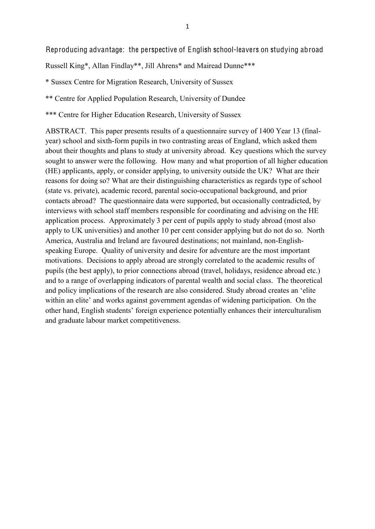Reproducing advantage: the perspective of English school-leavers on studying abroad

Russell King\*, Allan Findlay\*\*, Jill Ahrens\* and Mairead Dunne\*\*\*

\* Sussex Centre for Migration Research, University of Sussex

\*\* Centre for Applied Population Research, University of Dundee

\*\*\* Centre for Higher Education Research, University of Sussex

ABSTRACT. This paper presents results of a questionnaire survey of 1400 Year 13 (finalyear) school and sixth-form pupils in two contrasting areas of England, which asked them about their thoughts and plans to study at university abroad. Key questions which the survey sought to answer were the following. How many and what proportion of all higher education (HE) applicants, apply, or consider applying, to university outside the UK? What are their reasons for doing so? What are their distinguishing characteristics as regards type of school (state vs. private), academic record, parental socio-occupational background, and prior contacts abroad? The questionnaire data were supported, but occasionally contradicted, by interviews with school staff members responsible for coordinating and advising on the HE application process. Approximately 3 per cent of pupils apply to study abroad (most also apply to UK universities) and another 10 per cent consider applying but do not do so. North America, Australia and Ireland are favoured destinations; not mainland, non-Englishspeaking Europe. Quality of university and desire for adventure are the most important motivations. Decisions to apply abroad are strongly correlated to the academic results of pupils (the best apply), to prior connections abroad (travel, holidays, residence abroad etc.) and to a range of overlapping indicators of parental wealth and social class. The theoretical and policy implications of the research are also considered. Study abroad creates an 'elite within an elite' and works against government agendas of widening participation. On the other hand, English students' foreign experience potentially enhances their interculturalism and graduate labour market competitiveness.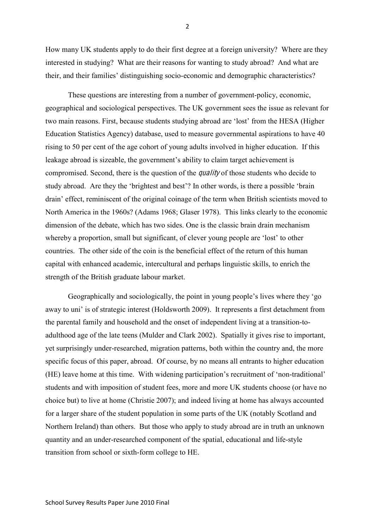How many UK students apply to do their first degree at a foreign university? Where are they interested in studying? What are their reasons for wanting to study abroad? And what are their, and their families' distinguishing socio-economic and demographic characteristics?

These questions are interesting from a number of government-policy, economic, geographical and sociological perspectives. The UK government sees the issue as relevant for two main reasons. First, because students studying abroad are 'lost' from the HESA (Higher Education Statistics Agency) database, used to measure governmental aspirations to have 40 rising to 50 per cent of the age cohort of young adults involved in higher education. If this leakage abroad is sizeable, the government's ability to claim target achievement is compromised. Second, there is the question of the quality of those students who decide to study abroad. Are they the 'brightest and best'? In other words, is there a possible 'brain drain' effect, reminiscent of the original coinage of the term when British scientists moved to North America in the 1960s? (Adams 1968; Glaser 1978). This links clearly to the economic dimension of the debate, which has two sides. One is the classic brain drain mechanism whereby a proportion, small but significant, of clever young people are 'lost' to other countries. The other side of the coin is the beneficial effect of the return of this human capital with enhanced academic, intercultural and perhaps linguistic skills, to enrich the strength of the British graduate labour market.

Geographically and sociologically, the point in young people's lives where they 'go away to uni' is of strategic interest (Holdsworth 2009). It represents a first detachment from the parental family and household and the onset of independent living at a transition-toadulthood age of the late teens (Mulder and Clark 2002). Spatially it gives rise to important, yet surprisingly under-researched, migration patterns, both within the country and, the more specific focus of this paper, abroad. Of course, by no means all entrants to higher education (HE) leave home at this time. With widening participation's recruitment of 'non-traditional' students and with imposition of student fees, more and more UK students choose (or have no choice but) to live at home (Christie 2007); and indeed living at home has always accounted for a larger share of the student population in some parts of the UK (notably Scotland and Northern Ireland) than others. But those who apply to study abroad are in truth an unknown quantity and an under-researched component of the spatial, educational and life-style transition from school or sixth-form college to HE.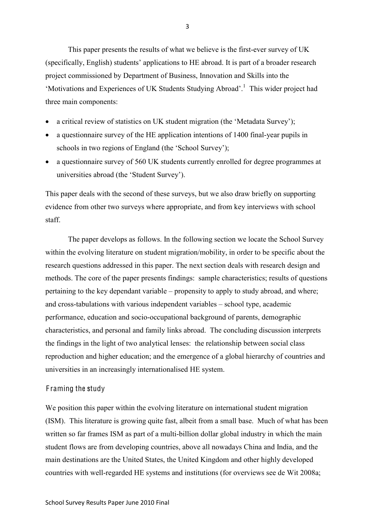This paper presents the results of what we believe is the first-ever survey of UK (specifically, English) students' applications to HE abroad. It is part of a broader research project commissioned by Department of Business, Innovation and Skills into the 'Motivations and Experiences of UK Students Studying Abroad'.<sup>1</sup> This wider project had three main components:

- a critical review of statistics on UK student migration (the 'Metadata Survey');
- a questionnaire survey of the HE application intentions of 1400 final-year pupils in schools in two regions of England (the 'School Survey');
- a questionnaire survey of 560 UK students currently enrolled for degree programmes at universities abroad (the 'Student Survey').

This paper deals with the second of these surveys, but we also draw briefly on supporting evidence from other two surveys where appropriate, and from key interviews with school staff.

The paper develops as follows. In the following section we locate the School Survey within the evolving literature on student migration/mobility, in order to be specific about the research questions addressed in this paper. The next section deals with research design and methods. The core of the paper presents findings: sample characteristics; results of questions pertaining to the key dependant variable – propensity to apply to study abroad, and where; and cross-tabulations with various independent variables – school type, academic performance, education and socio-occupational background of parents, demographic characteristics, and personal and family links abroad. The concluding discussion interprets the findings in the light of two analytical lenses: the relationship between social class reproduction and higher education; and the emergence of a global hierarchy of countries and universities in an increasingly internationalised HE system.

# F raming the study

We position this paper within the evolving literature on international student migration (ISM). This literature is growing quite fast, albeit from a small base. Much of what has been written so far frames ISM as part of a multi-billion dollar global industry in which the main student flows are from developing countries, above all nowadays China and India, and the main destinations are the United States, the United Kingdom and other highly developed countries with well-regarded HE systems and institutions (for overviews see de Wit 2008a;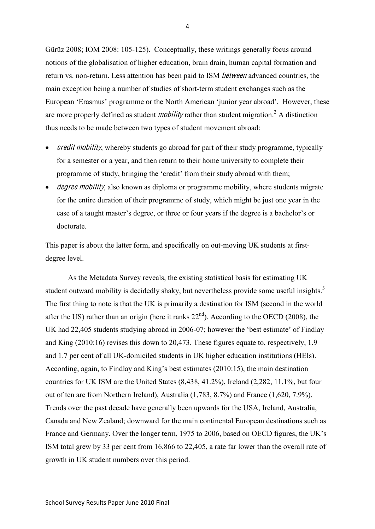Gürüz 2008; IOM 2008: 105-125). Conceptually, these writings generally focus around notions of the globalisation of higher education, brain drain, human capital formation and return vs. non-return. Less attention has been paid to ISM betwee<sup>n</sup> advanced countries, the main exception being a number of studies of short-term student exchanges such as the European 'Erasmus' programme or the North American 'junior year abroad'. However, these are more properly defined as student *mobility* rather than student migration.<sup>2</sup> A distinction thus needs to be made between two types of student movement abroad:

- *credit mobility*, whereby students go abroad for part of their study programme, typically for a semester or a year, and then return to their home university to complete their programme of study, bringing the 'credit' from their study abroad with them;
- *degree mobility*, also known as diploma or programme mobility, where students migrate for the entire duration of their programme of study, which might be just one year in the case of a taught master's degree, or three or four years if the degree is a bachelor's or doctorate.

This paper is about the latter form, and specifically on out-moving UK students at firstdegree level.

As the Metadata Survey reveals, the existing statistical basis for estimating UK student outward mobility is decidedly shaky, but nevertheless provide some useful insights. $3$ The first thing to note is that the UK is primarily a destination for ISM (second in the world after the US) rather than an origin (here it ranks  $22<sup>nd</sup>$ ). According to the OECD (2008), the UK had 22,405 students studying abroad in 2006-07; however the 'best estimate' of Findlay and King (2010:16) revises this down to 20,473. These figures equate to, respectively, 1.9 and 1.7 per cent of all UK-domiciled students in UK higher education institutions (HEIs). According, again, to Findlay and King's best estimates (2010:15), the main destination countries for UK ISM are the United States (8,438, 41.2%), Ireland (2,282, 11.1%, but four out of ten are from Northern Ireland), Australia (1,783, 8.7%) and France (1,620, 7.9%). Trends over the past decade have generally been upwards for the USA, Ireland, Australia, Canada and New Zealand; downward for the main continental European destinations such as France and Germany. Over the longer term, 1975 to 2006, based on OECD figures, the UK's ISM total grew by 33 per cent from 16,866 to 22,405, a rate far lower than the overall rate of growth in UK student numbers over this period.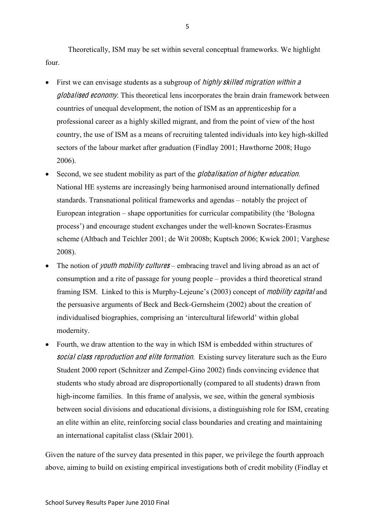Theoretically, ISM may be set within several conceptual frameworks. We highlight four.

- First we can envisage students as a subgroup of *highly skilled migration within a* globalised economy. This theoretical lens incorporates the brain drain framework between countries of unequal development, the notion of ISM as an apprenticeship for a professional career as a highly skilled migrant, and from the point of view of the host country, the use of ISM as a means of recruiting talented individuals into key high-skilled sectors of the labour market after graduation (Findlay 2001; Hawthorne 2008; Hugo 2006).
- Second, we see student mobility as part of the *globalisation of higher education*. National HE systems are increasingly being harmonised around internationally defined standards. Transnational political frameworks and agendas – notably the project of European integration – shape opportunities for curricular compatibility (the 'Bologna process') and encourage student exchanges under the well-known Socrates-Erasmus scheme (Altbach and Teichler 2001; de Wit 2008b; Kuptsch 2006; Kwiek 2001; Varghese 2008).
- The notion of *youth mobility cultures* embracing travel and living abroad as an act of consumption and a rite of passage for young people – provides a third theoretical strand framing ISM. Linked to this is Murphy-Lejeune's (2003) concept of mobility <sup>c</sup>apital and the persuasive arguments of Beck and Beck-Gernsheim (2002) about the creation of individualised biographies, comprising an 'intercultural lifeworld' within global modernity.
- Fourth, we draw attention to the way in which ISM is embedded within structures of social class reproduction and elite formation. Existing survey literature such as the Euro Student 2000 report (Schnitzer and Zempel-Gino 2002) finds convincing evidence that students who study abroad are disproportionally (compared to all students) drawn from high-income families. In this frame of analysis, we see, within the general symbiosis between social divisions and educational divisions, a distinguishing role for ISM, creating an elite within an elite, reinforcing social class boundaries and creating and maintaining an international capitalist class (Sklair 2001).

Given the nature of the survey data presented in this paper, we privilege the fourth approach above, aiming to build on existing empirical investigations both of credit mobility (Findlay et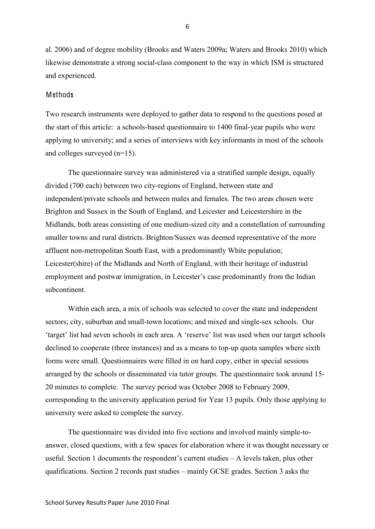al. 2006) and of degree mobility (Brooks and Waters 2009a; Waters and Brooks 2010) which likewise demonstrate a strong social-class component to the way in which ISM is structured and experienced.

### Methods

Two research instruments were deployed to gather data to respond to the questions posed at the start of this article: a schools-based questionnaire to 1400 final-year pupils who were applying to university; and a series of interviews with key informants in most of the schools and colleges surveyed (n=15).

The questionnaire survey was administered via a stratified sample design, equally divided (700 each) between two city-regions of England, between state and independent/private schools and between males and females. The two areas chosen were Brighton and Sussex in the South of England, and Leicester and Leicestershire in the Midlands, both areas consisting of one medium-sized city and a constellation of surrounding smaller towns and rural districts. Brighton/Sussex was deemed representative of the more affluent non-metropolitan South East, with a predominantly White population; Leicester(shire) of the Midlands and North of England, with their heritage of industrial employment and postwar immigration, in Leicester's case predominantly from the Indian subcontinent.

Within each area, a mix of schools was selected to cover the state and independent sectors; city, suburban and small-town locations; and mixed and single-sex schools. Our 'target' list had seven schools in each area. A 'reserve' list was used when our target schools declined to cooperate (three instances) and as a means to top-up quota samples where sixth forms were small. Questionnaires were filled in on hard copy, either in special sessions arranged by the schools or disseminated via tutor groups. The questionnaire took around 15- 20 minutes to complete. The survey period was October 2008 to February 2009, corresponding to the university application period for Year 13 pupils. Only those applying to university were asked to complete the survey.

The questionnaire was divided into five sections and involved mainly simple-toanswer, closed questions, with a few spaces for elaboration where it was thought necessary or useful. Section 1 documents the respondent's current studies – A levels taken, plus other qualifications. Section 2 records past studies – mainly GCSE grades. Section 3 asks the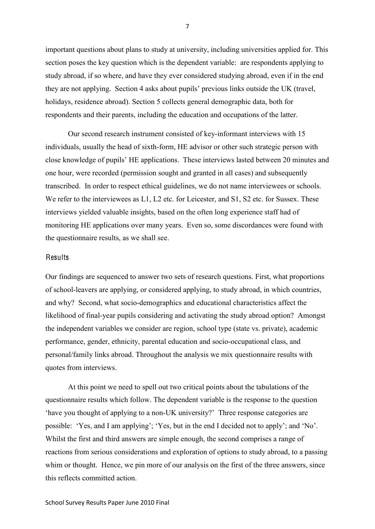important questions about plans to study at university, including universities applied for. This section poses the key question which is the dependent variable: are respondents applying to study abroad, if so where, and have they ever considered studying abroad, even if in the end they are not applying. Section 4 asks about pupils' previous links outside the UK (travel, holidays, residence abroad). Section 5 collects general demographic data, both for respondents and their parents, including the education and occupations of the latter.

Our second research instrument consisted of key-informant interviews with 15 individuals, usually the head of sixth-form, HE advisor or other such strategic person with close knowledge of pupils' HE applications. These interviews lasted between 20 minutes and one hour, were recorded (permission sought and granted in all cases) and subsequently transcribed. In order to respect ethical guidelines, we do not name interviewees or schools. We refer to the interviewees as L1, L2 etc. for Leicester, and S1, S2 etc. for Sussex. These interviews yielded valuable insights, based on the often long experience staff had of monitoring HE applications over many years. Even so, some discordances were found with the questionnaire results, as we shall see.

### Results

Our findings are sequenced to answer two sets of research questions. First, what proportions of school-leavers are applying, or considered applying, to study abroad, in which countries, and why? Second, what socio-demographics and educational characteristics affect the likelihood of final-year pupils considering and activating the study abroad option? Amongst the independent variables we consider are region, school type (state vs. private), academic performance, gender, ethnicity, parental education and socio-occupational class, and personal/family links abroad. Throughout the analysis we mix questionnaire results with quotes from interviews.

At this point we need to spell out two critical points about the tabulations of the questionnaire results which follow. The dependent variable is the response to the question 'have you thought of applying to a non-UK university?' Three response categories are possible: 'Yes, and I am applying'; 'Yes, but in the end I decided not to apply'; and 'No'. Whilst the first and third answers are simple enough, the second comprises a range of reactions from serious considerations and exploration of options to study abroad, to a passing whim or thought. Hence, we pin more of our analysis on the first of the three answers, since this reflects committed action.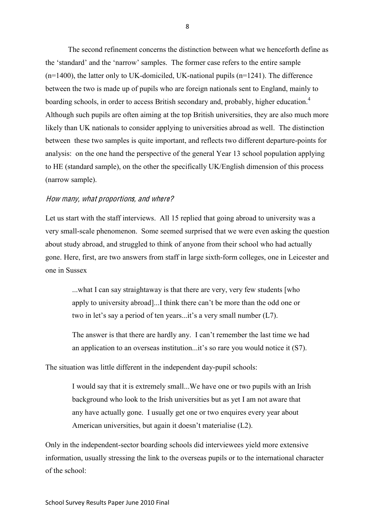The second refinement concerns the distinction between what we henceforth define as the 'standard' and the 'narrow' samples. The former case refers to the entire sample  $(n=1400)$ , the latter only to UK-domiciled, UK-national pupils  $(n=1241)$ . The difference between the two is made up of pupils who are foreign nationals sent to England, mainly to boarding schools, in order to access British secondary and, probably, higher education.<sup>4</sup> Although such pupils are often aiming at the top British universities, they are also much more likely than UK nationals to consider applying to universities abroad as well. The distinction between these two samples is quite important, and reflects two different departure-points for analysis: on the one hand the perspective of the general Year 13 school population applying to HE (standard sample), on the other the specifically UK/English dimension of this process (narrow sample).

#### How <sup>m</sup>any, what proportions, and where?

Let us start with the staff interviews. All 15 replied that going abroad to university was a very small-scale phenomenon. Some seemed surprised that we were even asking the question about study abroad, and struggled to think of anyone from their school who had actually gone. Here, first, are two answers from staff in large sixth-form colleges, one in Leicester and one in Sussex

...what I can say straightaway is that there are very, very few students [who apply to university abroad]...I think there can't be more than the odd one or two in let's say a period of ten years...it's a very small number (L7).

The answer is that there are hardly any. I can't remember the last time we had an application to an overseas institution...it's so rare you would notice it (S7).

The situation was little different in the independent day-pupil schools:

I would say that it is extremely small...We have one or two pupils with an Irish background who look to the Irish universities but as yet I am not aware that any have actually gone. I usually get one or two enquires every year about American universities, but again it doesn't materialise (L2).

Only in the independent-sector boarding schools did interviewees yield more extensive information, usually stressing the link to the overseas pupils or to the international character of the school: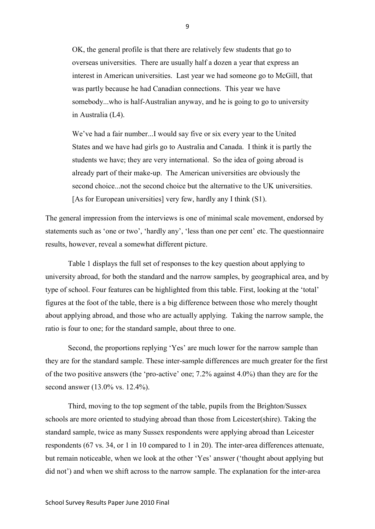OK, the general profile is that there are relatively few students that go to overseas universities. There are usually half a dozen a year that express an interest in American universities. Last year we had someone go to McGill, that was partly because he had Canadian connections. This year we have somebody...who is half-Australian anyway, and he is going to go to university in Australia (L4).

We've had a fair number...I would say five or six every year to the United States and we have had girls go to Australia and Canada. I think it is partly the students we have; they are very international. So the idea of going abroad is already part of their make-up. The American universities are obviously the second choice...not the second choice but the alternative to the UK universities. [As for European universities] very few, hardly any I think (S1).

The general impression from the interviews is one of minimal scale movement, endorsed by statements such as 'one or two', 'hardly any', 'less than one per cent' etc. The questionnaire results, however, reveal a somewhat different picture.

Table 1 displays the full set of responses to the key question about applying to university abroad, for both the standard and the narrow samples, by geographical area, and by type of school. Four features can be highlighted from this table. First, looking at the 'total' figures at the foot of the table, there is a big difference between those who merely thought about applying abroad, and those who are actually applying. Taking the narrow sample, the ratio is four to one; for the standard sample, about three to one.

Second, the proportions replying 'Yes' are much lower for the narrow sample than they are for the standard sample. These inter-sample differences are much greater for the first of the two positive answers (the 'pro-active' one; 7.2% against 4.0%) than they are for the second answer (13.0% vs. 12.4%).

Third, moving to the top segment of the table, pupils from the Brighton/Sussex schools are more oriented to studying abroad than those from Leicester(shire). Taking the standard sample, twice as many Sussex respondents were applying abroad than Leicester respondents (67 vs. 34, or 1 in 10 compared to 1 in 20). The inter-area differences attenuate, but remain noticeable, when we look at the other 'Yes' answer ('thought about applying but did not') and when we shift across to the narrow sample. The explanation for the inter-area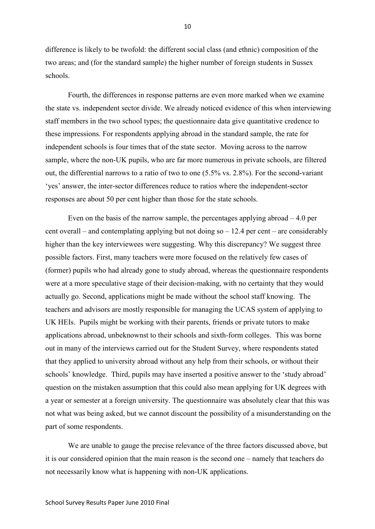difference is likely to be twofold: the different social class (and ethnic) composition of the two areas; and (for the standard sample) the higher number of foreign students in Sussex schools.

Fourth, the differences in response patterns are even more marked when we examine the state vs. independent sector divide. We already noticed evidence of this when interviewing staff members in the two school types; the questionnaire data give quantitative credence to these impressions. For respondents applying abroad in the standard sample, the rate for independent schools is four times that of the state sector. Moving across to the narrow sample, where the non-UK pupils, who are far more numerous in private schools, are filtered out, the differential narrows to a ratio of two to one (5.5% vs. 2.8%). For the second-variant 'yes' answer, the inter-sector differences reduce to ratios where the independent-sector responses are about 50 per cent higher than those for the state schools.

Even on the basis of the narrow sample, the percentages applying abroad – 4.0 per cent overall – and contemplating applying but not doing so  $-12.4$  per cent – are considerably higher than the key interviewees were suggesting. Why this discrepancy? We suggest three possible factors. First, many teachers were more focused on the relatively few cases of (former) pupils who had already gone to study abroad, whereas the questionnaire respondents were at a more speculative stage of their decision-making, with no certainty that they would actually go. Second, applications might be made without the school staff knowing. The teachers and advisors are mostly responsible for managing the UCAS system of applying to UK HEIs. Pupils might be working with their parents, friends or private tutors to make applications abroad, unbeknownst to their schools and sixth-form colleges. This was borne out in many of the interviews carried out for the Student Survey, where respondents stated that they applied to university abroad without any help from their schools, or without their schools' knowledge. Third, pupils may have inserted a positive answer to the 'study abroad' question on the mistaken assumption that this could also mean applying for UK degrees with a year or semester at a foreign university. The questionnaire was absolutely clear that this was not what was being asked, but we cannot discount the possibility of a misunderstanding on the part of some respondents.

We are unable to gauge the precise relevance of the three factors discussed above, but it is our considered opinion that the main reason is the second one – namely that teachers do not necessarily know what is happening with non-UK applications.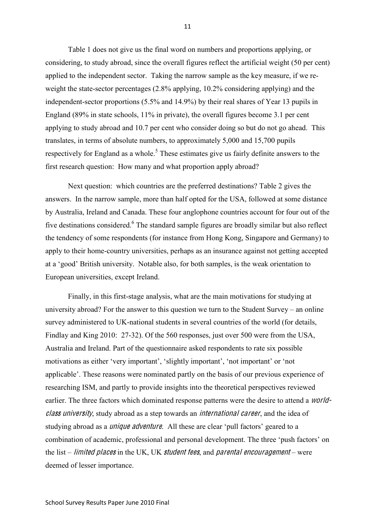Table 1 does not give us the final word on numbers and proportions applying, or considering, to study abroad, since the overall figures reflect the artificial weight (50 per cent) applied to the independent sector. Taking the narrow sample as the key measure, if we reweight the state-sector percentages (2.8% applying, 10.2% considering applying) and the independent-sector proportions (5.5% and 14.9%) by their real shares of Year 13 pupils in England (89% in state schools, 11% in private), the overall figures become 3.1 per cent applying to study abroad and 10.7 per cent who consider doing so but do not go ahead. This translates, in terms of absolute numbers, to approximately 5,000 and 15,700 pupils respectively for England as a whole.<sup>5</sup> These estimates give us fairly definite answers to the first research question: How many and what proportion apply abroad?

Next question: which countries are the preferred destinations? Table 2 gives the answers. In the narrow sample, more than half opted for the USA, followed at some distance by Australia, Ireland and Canada. These four anglophone countries account for four out of the five destinations considered.<sup>6</sup> The standard sample figures are broadly similar but also reflect the tendency of some respondents (for instance from Hong Kong, Singapore and Germany) to apply to their home-country universities, perhaps as an insurance against not getting accepted at a 'good' British university. Notable also, for both samples, is the weak orientation to European universities, except Ireland.

Finally, in this first-stage analysis, what are the main motivations for studying at university abroad? For the answer to this question we turn to the Student Survey – an online survey administered to UK-national students in several countries of the world (for details, Findlay and King 2010: 27-32). Of the 560 responses, just over 500 were from the USA, Australia and Ireland. Part of the questionnaire asked respondents to rate six possible motivations as either 'very important', 'slightly important', 'not important' or 'not applicable'. These reasons were nominated partly on the basis of our previous experience of researching ISM, and partly to provide insights into the theoretical perspectives reviewed earlier. The three factors which dominated response patterns were the desire to attend a *world*class university, study abroad as a step towards an *international career*, and the idea of studying abroad as a *unique adventure*. All these are clear 'pull factors' geared to a combination of academic, professional and personal development. The three 'push factors' on the list – *limited places* in the UK, UK *student fees*, and *parental encouragement* – were deemed of lesser importance.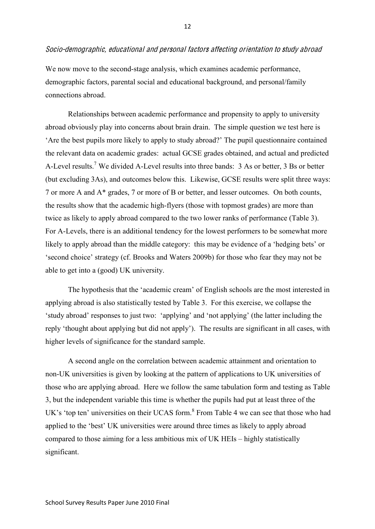### Socio-demographi<sup>c</sup>, <sup>e</sup>ducational and personal factor<sup>s</sup> <sup>a</sup>ffecting orientation t<sup>o</sup> study abroad

We now move to the second-stage analysis, which examines academic performance, demographic factors, parental social and educational background, and personal/family connections abroad.

Relationships between academic performance and propensity to apply to university abroad obviously play into concerns about brain drain. The simple question we test here is 'Are the best pupils more likely to apply to study abroad?' The pupil questionnaire contained the relevant data on academic grades: actual GCSE grades obtained, and actual and predicted A-Level results.7 We divided A-Level results into three bands: 3 As or better, 3 Bs or better (but excluding 3As), and outcomes below this. Likewise, GCSE results were split three ways: 7 or more A and A\* grades, 7 or more of B or better, and lesser outcomes. On both counts, the results show that the academic high-flyers (those with topmost grades) are more than twice as likely to apply abroad compared to the two lower ranks of performance (Table 3). For A-Levels, there is an additional tendency for the lowest performers to be somewhat more likely to apply abroad than the middle category: this may be evidence of a 'hedging bets' or 'second choice' strategy (cf. Brooks and Waters 2009b) for those who fear they may not be able to get into a (good) UK university.

The hypothesis that the 'academic cream' of English schools are the most interested in applying abroad is also statistically tested by Table 3. For this exercise, we collapse the 'study abroad' responses to just two: 'applying' and 'not applying' (the latter including the reply 'thought about applying but did not apply'). The results are significant in all cases, with higher levels of significance for the standard sample.

A second angle on the correlation between academic attainment and orientation to non-UK universities is given by looking at the pattern of applications to UK universities of those who are applying abroad. Here we follow the same tabulation form and testing as Table 3, but the independent variable this time is whether the pupils had put at least three of the UK's 'top ten' universities on their UCAS form.<sup>8</sup> From Table 4 we can see that those who had applied to the 'best' UK universities were around three times as likely to apply abroad compared to those aiming for a less ambitious mix of UK HEIs – highly statistically significant.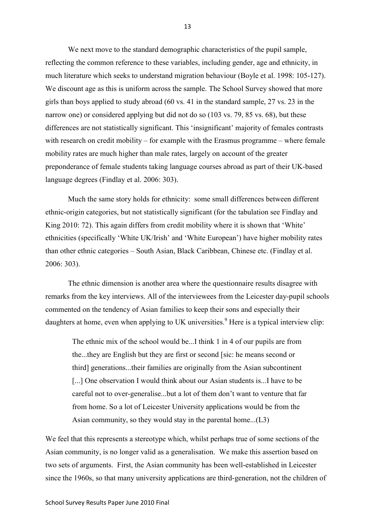We next move to the standard demographic characteristics of the pupil sample, reflecting the common reference to these variables, including gender, age and ethnicity, in much literature which seeks to understand migration behaviour (Boyle et al. 1998: 105-127). We discount age as this is uniform across the sample. The School Survey showed that more girls than boys applied to study abroad (60 vs. 41 in the standard sample, 27 vs. 23 in the narrow one) or considered applying but did not do so (103 vs. 79, 85 vs. 68), but these differences are not statistically significant. This 'insignificant' majority of females contrasts with research on credit mobility – for example with the Erasmus programme – where female mobility rates are much higher than male rates, largely on account of the greater preponderance of female students taking language courses abroad as part of their UK-based language degrees (Findlay et al. 2006: 303).

Much the same story holds for ethnicity: some small differences between different ethnic-origin categories, but not statistically significant (for the tabulation see Findlay and King 2010: 72). This again differs from credit mobility where it is shown that 'White' ethnicities (specifically 'White UK/Irish' and 'White European') have higher mobility rates than other ethnic categories – South Asian, Black Caribbean, Chinese etc. (Findlay et al. 2006: 303).

The ethnic dimension is another area where the questionnaire results disagree with remarks from the key interviews. All of the interviewees from the Leicester day-pupil schools commented on the tendency of Asian families to keep their sons and especially their daughters at home, even when applying to UK universities.<sup>9</sup> Here is a typical interview clip:

The ethnic mix of the school would be...I think 1 in 4 of our pupils are from the...they are English but they are first or second [sic: he means second or third] generations...their families are originally from the Asian subcontinent [...] One observation I would think about our Asian students is...I have to be careful not to over-generalise...but a lot of them don't want to venture that far from home. So a lot of Leicester University applications would be from the Asian community, so they would stay in the parental home...(L3)

We feel that this represents a stereotype which, whilst perhaps true of some sections of the Asian community, is no longer valid as a generalisation. We make this assertion based on two sets of arguments. First, the Asian community has been well-established in Leicester since the 1960s, so that many university applications are third-generation, not the children of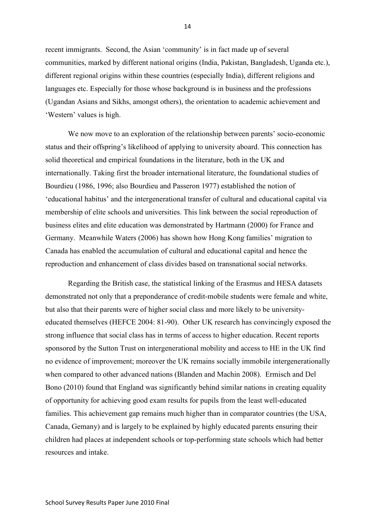recent immigrants. Second, the Asian 'community' is in fact made up of several communities, marked by different national origins (India, Pakistan, Bangladesh, Uganda etc.), different regional origins within these countries (especially India), different religions and languages etc. Especially for those whose background is in business and the professions (Ugandan Asians and Sikhs, amongst others), the orientation to academic achievement and 'Western' values is high.

We now move to an exploration of the relationship between parents' socio-economic status and their offspring's likelihood of applying to university aboard. This connection has solid theoretical and empirical foundations in the literature, both in the UK and internationally. Taking first the broader international literature, the foundational studies of Bourdieu (1986, 1996; also Bourdieu and Passeron 1977) established the notion of 'educational habitus' and the intergenerational transfer of cultural and educational capital via membership of elite schools and universities. This link between the social reproduction of business elites and elite education was demonstrated by Hartmann (2000) for France and Germany. Meanwhile Waters (2006) has shown how Hong Kong families' migration to Canada has enabled the accumulation of cultural and educational capital and hence the reproduction and enhancement of class divides based on transnational social networks.

Regarding the British case, the statistical linking of the Erasmus and HESA datasets demonstrated not only that a preponderance of credit-mobile students were female and white, but also that their parents were of higher social class and more likely to be universityeducated themselves (HEFCE 2004: 81-90). Other UK research has convincingly exposed the strong influence that social class has in terms of access to higher education. Recent reports sponsored by the Sutton Trust on intergenerational mobility and access to HE in the UK find no evidence of improvement; moreover the UK remains socially immobile intergenerationally when compared to other advanced nations (Blanden and Machin 2008). Ermisch and Del Bono (2010) found that England was significantly behind similar nations in creating equality of opportunity for achieving good exam results for pupils from the least well-educated families. This achievement gap remains much higher than in comparator countries (the USA, Canada, Gemany) and is largely to be explained by highly educated parents ensuring their children had places at independent schools or top-performing state schools which had better resources and intake.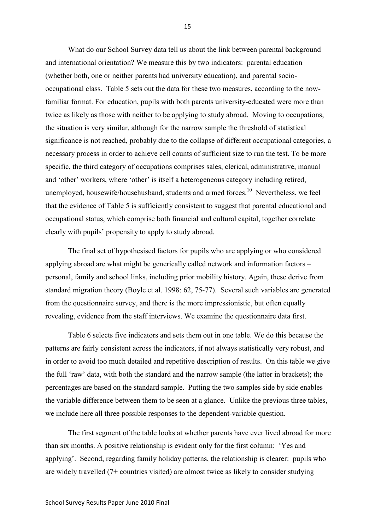What do our School Survey data tell us about the link between parental background and international orientation? We measure this by two indicators: parental education (whether both, one or neither parents had university education), and parental sociooccupational class. Table 5 sets out the data for these two measures, according to the nowfamiliar format. For education, pupils with both parents university-educated were more than twice as likely as those with neither to be applying to study abroad. Moving to occupations, the situation is very similar, although for the narrow sample the threshold of statistical significance is not reached, probably due to the collapse of different occupational categories, a necessary process in order to achieve cell counts of sufficient size to run the test. To be more specific, the third category of occupations comprises sales, clerical, administrative, manual and 'other' workers, where 'other' is itself a heterogeneous category including retired, unemployed, housewife/househusband, students and armed forces.<sup>10</sup> Nevertheless, we feel that the evidence of Table 5 is sufficiently consistent to suggest that parental educational and occupational status, which comprise both financial and cultural capital, together correlate clearly with pupils' propensity to apply to study abroad.

The final set of hypothesised factors for pupils who are applying or who considered applying abroad are what might be generically called network and information factors – personal, family and school links, including prior mobility history. Again, these derive from standard migration theory (Boyle et al. 1998: 62, 75-77). Several such variables are generated from the questionnaire survey, and there is the more impressionistic, but often equally revealing, evidence from the staff interviews. We examine the questionnaire data first.

Table 6 selects five indicators and sets them out in one table. We do this because the patterns are fairly consistent across the indicators, if not always statistically very robust, and in order to avoid too much detailed and repetitive description of results. On this table we give the full 'raw' data, with both the standard and the narrow sample (the latter in brackets); the percentages are based on the standard sample. Putting the two samples side by side enables the variable difference between them to be seen at a glance. Unlike the previous three tables, we include here all three possible responses to the dependent-variable question.

The first segment of the table looks at whether parents have ever lived abroad for more than six months. A positive relationship is evident only for the first column: 'Yes and applying'. Second, regarding family holiday patterns, the relationship is clearer: pupils who are widely travelled (7+ countries visited) are almost twice as likely to consider studying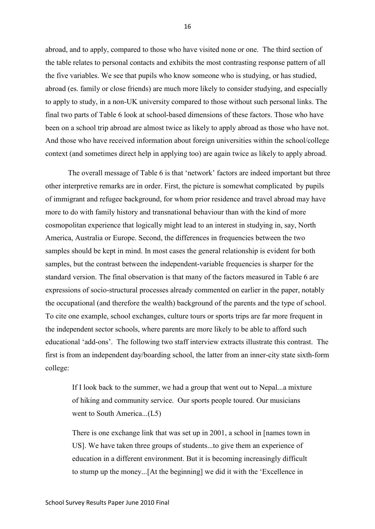abroad, and to apply, compared to those who have visited none or one. The third section of the table relates to personal contacts and exhibits the most contrasting response pattern of all the five variables. We see that pupils who know someone who is studying, or has studied, abroad (es. family or close friends) are much more likely to consider studying, and especially to apply to study, in a non-UK university compared to those without such personal links. The final two parts of Table 6 look at school-based dimensions of these factors. Those who have been on a school trip abroad are almost twice as likely to apply abroad as those who have not. And those who have received information about foreign universities within the school/college context (and sometimes direct help in applying too) are again twice as likely to apply abroad.

The overall message of Table 6 is that 'network' factors are indeed important but three other interpretive remarks are in order. First, the picture is somewhat complicated by pupils of immigrant and refugee background, for whom prior residence and travel abroad may have more to do with family history and transnational behaviour than with the kind of more cosmopolitan experience that logically might lead to an interest in studying in, say, North America, Australia or Europe. Second, the differences in frequencies between the two samples should be kept in mind. In most cases the general relationship is evident for both samples, but the contrast between the independent-variable frequencies is sharper for the standard version. The final observation is that many of the factors measured in Table 6 are expressions of socio-structural processes already commented on earlier in the paper, notably the occupational (and therefore the wealth) background of the parents and the type of school. To cite one example, school exchanges, culture tours or sports trips are far more frequent in the independent sector schools, where parents are more likely to be able to afford such educational 'add-ons'. The following two staff interview extracts illustrate this contrast. The first is from an independent day/boarding school, the latter from an inner-city state sixth-form college:

If I look back to the summer, we had a group that went out to Nepal...a mixture of hiking and community service. Our sports people toured. Our musicians went to South America...(L5)

There is one exchange link that was set up in 2001, a school in [names town in US]. We have taken three groups of students...to give them an experience of education in a different environment. But it is becoming increasingly difficult to stump up the money...[At the beginning] we did it with the 'Excellence in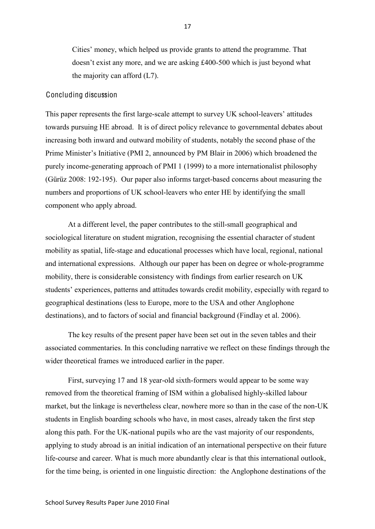Cities' money, which helped us provide grants to attend the programme. That doesn't exist any more, and we are asking £400-500 which is just beyond what the majority can afford (L7).

## Concluding discussion

This paper represents the first large-scale attempt to survey UK school-leavers' attitudes towards pursuing HE abroad. It is of direct policy relevance to governmental debates about increasing both inward and outward mobility of students, notably the second phase of the Prime Minister's Initiative (PMI 2, announced by PM Blair in 2006) which broadened the purely income-generating approach of PMI 1 (1999) to a more internationalist philosophy (Gürüz 2008: 192-195). Our paper also informs target-based concerns about measuring the numbers and proportions of UK school-leavers who enter HE by identifying the small component who apply abroad.

At a different level, the paper contributes to the still-small geographical and sociological literature on student migration, recognising the essential character of student mobility as spatial, life-stage and educational processes which have local, regional, national and international expressions. Although our paper has been on degree or whole-programme mobility, there is considerable consistency with findings from earlier research on UK students' experiences, patterns and attitudes towards credit mobility, especially with regard to geographical destinations (less to Europe, more to the USA and other Anglophone destinations), and to factors of social and financial background (Findlay et al. 2006).

The key results of the present paper have been set out in the seven tables and their associated commentaries. In this concluding narrative we reflect on these findings through the wider theoretical frames we introduced earlier in the paper.

First, surveying 17 and 18 year-old sixth-formers would appear to be some way removed from the theoretical framing of ISM within a globalised highly-skilled labour market, but the linkage is nevertheless clear, nowhere more so than in the case of the non-UK students in English boarding schools who have, in most cases, already taken the first step along this path. For the UK-national pupils who are the vast majority of our respondents, applying to study abroad is an initial indication of an international perspective on their future life-course and career. What is much more abundantly clear is that this international outlook, for the time being, is oriented in one linguistic direction: the Anglophone destinations of the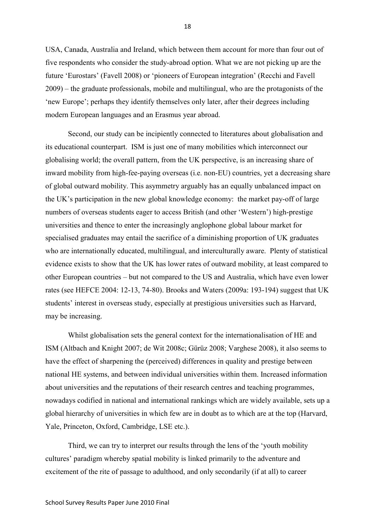USA, Canada, Australia and Ireland, which between them account for more than four out of five respondents who consider the study-abroad option. What we are not picking up are the future 'Eurostars' (Favell 2008) or 'pioneers of European integration' (Recchi and Favell 2009) – the graduate professionals, mobile and multilingual, who are the protagonists of the 'new Europe'; perhaps they identify themselves only later, after their degrees including modern European languages and an Erasmus year abroad.

Second, our study can be incipiently connected to literatures about globalisation and its educational counterpart. ISM is just one of many mobilities which interconnect our globalising world; the overall pattern, from the UK perspective, is an increasing share of inward mobility from high-fee-paying overseas (i.e. non-EU) countries, yet a decreasing share of global outward mobility. This asymmetry arguably has an equally unbalanced impact on the UK's participation in the new global knowledge economy: the market pay-off of large numbers of overseas students eager to access British (and other 'Western') high-prestige universities and thence to enter the increasingly anglophone global labour market for specialised graduates may entail the sacrifice of a diminishing proportion of UK graduates who are internationally educated, multilingual, and interculturally aware. Plenty of statistical evidence exists to show that the UK has lower rates of outward mobility, at least compared to other European countries – but not compared to the US and Australia, which have even lower rates (see HEFCE 2004: 12-13, 74-80). Brooks and Waters (2009a: 193-194) suggest that UK students' interest in overseas study, especially at prestigious universities such as Harvard, may be increasing.

Whilst globalisation sets the general context for the internationalisation of HE and ISM (Altbach and Knight 2007; de Wit 2008c; Gürüz 2008; Varghese 2008), it also seems to have the effect of sharpening the (perceived) differences in quality and prestige between national HE systems, and between individual universities within them. Increased information about universities and the reputations of their research centres and teaching programmes, nowadays codified in national and international rankings which are widely available, sets up a global hierarchy of universities in which few are in doubt as to which are at the top (Harvard, Yale, Princeton, Oxford, Cambridge, LSE etc.).

Third, we can try to interpret our results through the lens of the 'youth mobility cultures' paradigm whereby spatial mobility is linked primarily to the adventure and excitement of the rite of passage to adulthood, and only secondarily (if at all) to career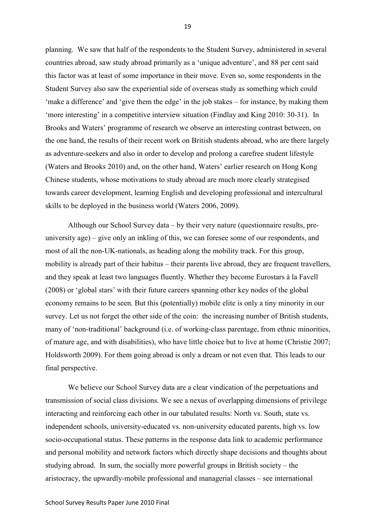planning. We saw that half of the respondents to the Student Survey, administered in several countries abroad, saw study abroad primarily as a 'unique adventure', and 88 per cent said this factor was at least of some importance in their move. Even so, some respondents in the Student Survey also saw the experiential side of overseas study as something which could 'make a difference' and 'give them the edge' in the job stakes – for instance, by making them 'more interesting' in a competitive interview situation (Findlay and King 2010: 30-31). In Brooks and Waters' programme of research we observe an interesting contrast between, on the one hand, the results of their recent work on British students abroad, who are there largely as adventure-seekers and also in order to develop and prolong a carefree student lifestyle (Waters and Brooks 2010) and, on the other hand, Waters' earlier research on Hong Kong Chinese students, whose motivations to study abroad are much more clearly strategised towards career development, learning English and developing professional and intercultural skills to be deployed in the business world (Waters 2006, 2009).

Although our School Survey data – by their very nature (questionnaire results, preuniversity age) – give only an inkling of this, we can foresee some of our respondents, and most of all the non-UK-nationals, as heading along the mobility track. For this group, mobility is already part of their habitus – their parents live abroad, they are frequent travellers, and they speak at least two languages fluently. Whether they become Eurostars à la Favell (2008) or 'global stars' with their future careers spanning other key nodes of the global economy remains to be seen. But this (potentially) mobile elite is only a tiny minority in our survey. Let us not forget the other side of the coin: the increasing number of British students, many of 'non-traditional' background (i.e. of working-class parentage, from ethnic minorities, of mature age, and with disabilities), who have little choice but to live at home (Christie 2007; Holdsworth 2009). For them going abroad is only a dream or not even that. This leads to our final perspective.

We believe our School Survey data are a clear vindication of the perpetuations and transmission of social class divisions. We see a nexus of overlapping dimensions of privilege interacting and reinforcing each other in our tabulated results: North vs. South, state vs. independent schools, university-educated vs. non-university educated parents, high vs. low socio-occupational status. These patterns in the response data link to academic performance and personal mobility and network factors which directly shape decisions and thoughts about studying abroad. In sum, the socially more powerful groups in British society – the aristocracy, the upwardly-mobile professional and managerial classes – see international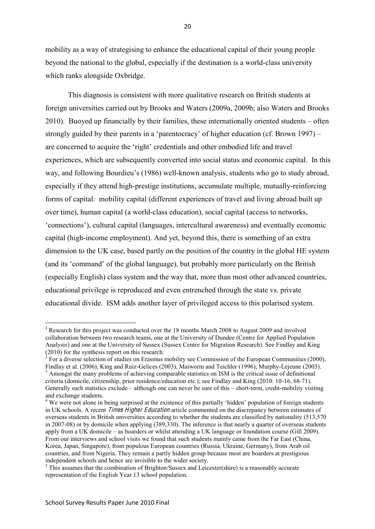mobility as a way of strategising to enhance the educational capital of their young people beyond the national to the global, especially if the destination is a world-class university which ranks alongside Oxbridge.

This diagnosis is consistent with more qualitative research on British students at foreign universities carried out by Brooks and Waters (2009a, 2009b; also Waters and Brooks 2010). Buoyed up financially by their families, these internationally oriented students – often strongly guided by their parents in a 'parentocracy' of higher education (cf. Brown 1997) – are concerned to acquire the 'right' credentials and other embodied life and travel experiences, which are subsequently converted into social status and economic capital. In this way, and following Bourdieu's (1986) well-known analysis, students who go to study abroad, especially if they attend high-prestige institutions, accumulate multiple, mutually-reinforcing forms of capital: mobility capital (different experiences of travel and living abroad built up over time), human capital (a world-class education), social capital (access to networks, 'connections'), cultural capital (languages, intercultural awareness) and eventually economic capital (high-income employment). And yet, beyond this, there is something of an extra dimension to the UK case, based partly on the position of the country in the global HE system (and its 'command' of the global language), but probably more particularly on the British (especially English) class system and the way that, more than most other advanced countries, educational privilege is reproduced and even entrenched through the state vs. private educational divide. ISM adds another layer of privileged access to this polarised system.

 <sup>1</sup> Research for this project was conducted over the 18 months March 2008 to August 2009 and involved collaboration between two research teams, one at the University of Dundee (Centre for Applied Population Analysis) and one at the University of Sussex (Sussex Centre for Migration Research). See Findlay and King (2010) for the synthesis report on this research.

<sup>2</sup> For a diverse selection of studies on Erasmus mobility see Commission of the European Communities (2000), Findlay et al. (2006), King and Ruiz-Gelices (2003), Maiworm and Teichler (1996), Murphy-Lejeune (2003).<br><sup>3</sup> Amongst the many problems of achieving comparable statistics on ISM is the critical issue of definitional

criteria (domicile, citizenship, prior residence/education etc.); see Findlay and King (2010: 10-16, 68-71). Generally such statistics exclude – although one can never be sure of this – short-term, credit-mobility visiting and exchange students.<br><sup>4</sup> We were not alone in being surprised at the existence of this partially 'hidden' population of foreign students

in UK schools. A recent Time<sup>s</sup> High<sup>e</sup><sup>r</sup> Education article commented on the discrepancy between estimates of overseas students in British universities according to whether the students are classified by nationality (513,570 in 2007-08) or by domicile when applying (389,330). The inference is that nearly a quarter of overseas students apply from a UK domicile – as boarders or whilst attending a UK language or foundation course (Gill 2009). From our interviews and school visits we found that such students mainly came from the Far East (China, Korea, Japan, Singapore), from populous European countries (Russia, Ukraine, Germany), from Arab oil countries, and from Nigeria. They remain a partly hidden group because most are boarders at prestigious independent schools and hence are invisible to the wider society.

 $<sup>5</sup>$  This assumes that the combination of Brighton/Sussex and Leicester(shire) is a reasonably accurate</sup> representation of the English Year 13 school population.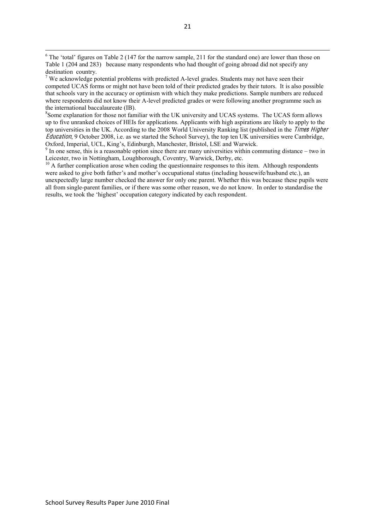Some explanation for those not familiar with the UK university and UCAS systems. The UCAS form allows up to five unranked choices of HEIs for applications. Applicants with high aspirations are likely to apply to the top universities in the UK. According to the 2008 World University Ranking list (published in the Time<sup>s</sup> High<sup>e</sup><sup>r</sup> Education, 9 October 2008, i.e. as we started the School Survey), the top ten UK universities were Cambridge, Oxford, Imperial, UCL, King's, Edinburgh, Manchester, Bristol, LSE and Warwick. <sup>9</sup> In one sense, this is a reasonable option since there are many universities within commuting distance – two in

Leicester, two in Nottingham, Loughborough, Coventry, Warwick, Derby, etc.

<sup>10</sup> A further complication arose when coding the questionnaire responses to this item. Although respondents were asked to give both father's and mother's occupational status (including housewife/husband etc.), an unexpectedly large number checked the answer for only one parent. Whether this was because these pupils were all from single-parent families, or if there was some other reason, we do not know. In order to standardise the results, we took the 'highest' occupation category indicated by each respondent.

<sup>&</sup>lt;sup>6</sup> The 'total' figures on Table 2 (147 for the narrow sample, 211 for the standard one) are lower than those on Table 1 (204 and 283) because many respondents who had thought of going abroad did not specify any destination country.

 $7$  We acknowledge potential problems with predicted A-level grades. Students may not have seen their competed UCAS forms or might not have been told of their predicted grades by their tutors. It is also possible that schools vary in the accuracy or optimism with which they make predictions. Sample numbers are reduced where respondents did not know their A-level predicted grades or were following another programme such as the international baccalaureate (IB).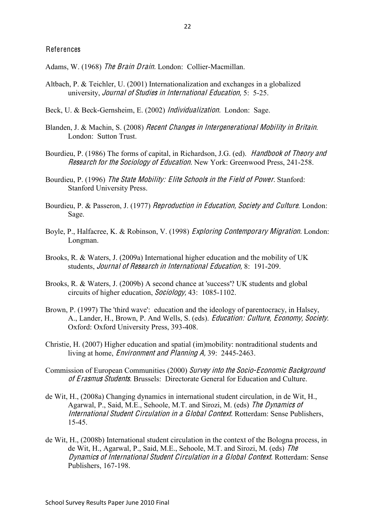Adams, W. (1968) Th<sup>e</sup> Brain Drain. London: Collier-Macmillan.

- Altbach, P. & Teichler, U. (2001) Internationalization and exchanges in a globalized university, Journal <sup>o</sup>f Studie<sup>s</sup> in International Education, 5: 5-25.
- Beck, U. & Beck-Gernsheim, E. (2002) Individualization. London: Sage.
- Blanden, J. & Machin, S. (2008) Recen<sup>t</sup> Change<sup>s</sup> in Intergenerational Mobility in Britain. London: Sutton Trust.
- Bourdieu, P. (1986) The forms of capital, in Richardson, J.G. (ed). Handbook <sup>o</sup>f Theory and Research for the Sociology of Education. New York: Greenwood Press, 241-258.
- Bourdieu, P. (1996) Th<sup>e</sup> Stat<sup>e</sup> Mobility: Elit<sup>e</sup> School<sup>s</sup> in <sup>t</sup>h<sup>e</sup> Field <sup>o</sup>f Power. Stanford: Stanford University Press.
- Bourdieu, P. & Passeron, J. (1977) Reproduction in Education, Society and Culture. London: Sage.
- Boyle, P., Halfacree, K. & Robinson, V. (1998) Exploring Contemporary Migration. London: Longman.
- Brooks, R. & Waters, J. (2009a) International higher education and the mobility of UK students, Journal <sup>o</sup>f Research in International Education, 8: 191-209.
- Brooks, R. & Waters, J. (2009b) A second chance at 'success'? UK students and global circuits of higher education, So<sup>c</sup>iology, 43: 1085-1102.
- Brown, P. (1997) The 'third wave': education and the ideology of parentocracy, in Halsey, A., Lander, H., Brown, P. And Wells, S. (eds). Education: Culture, Economy, Society. Oxford: Oxford University Press, 393-408.
- Christie, H. (2007) Higher education and spatial (im)mobility: nontraditional students and living at home, Environmen<sup>t</sup> and Planning A, 39: 2445-2463.
- Commission of European Communities (2000) Survey int<sup>o</sup> <sup>t</sup>h<sup>e</sup> Socio-Economi<sup>c</sup> Background <sup>o</sup>f Erasmu<sup>s</sup> Students. Brussels: Directorate General for Education and Culture.
- de Wit, H., (2008a) Changing dynamics in international student circulation, in de Wit, H., Agarwal, P., Said, M.E., Sehoole, M.T. and Sirozi, M. (eds) Th<sup>e</sup> Dynamic<sup>s</sup> <sup>o</sup>f International Studen<sup>t</sup> Circulation in <sup>a</sup> Global Context. Rotterdam: Sense Publishers, 15-45.
- de Wit, H., (2008b) International student circulation in the context of the Bologna process, in de Wit, H., Agarwal, P., Said, M.E., Sehoole, M.T. and Sirozi, M. (eds) Th<sup>e</sup> Dynamic<sup>s</sup> <sup>o</sup>f International Studen<sup>t</sup> Circulation in <sup>a</sup> Global Context. Rotterdam: Sense Publishers, 167-198.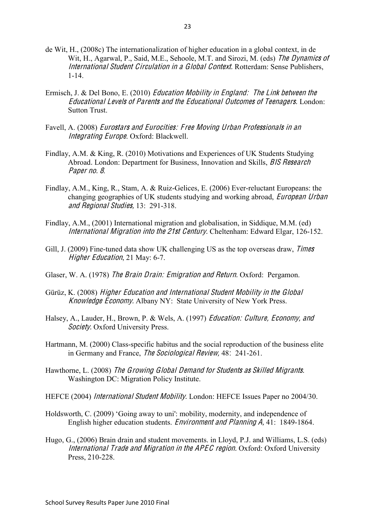- de Wit, H., (2008c) The internationalization of higher education in a global context, in de Wit, H., Agarwal, P., Said, M.E., Sehoole, M.T. and Sirozi, M. (eds) The Dynamics of International Studen<sup>t</sup> Circulation in <sup>a</sup> Global Context. Rotterdam: Sense Publishers, 1-14.
- Ermisch, J. & Del Bono, E. (2010) Education Mobility in England: Th<sup>e</sup> Link betwee<sup>n</sup> <sup>t</sup>h<sup>e</sup> Educational Level<sup>s</sup> <sup>o</sup>f Parents and <sup>t</sup>h<sup>e</sup> Educational Outcome<sup>s</sup> <sup>o</sup>f Teenagers. London: Sutton Trust.
- Favell, A. (2008) Eurostar<sup>s</sup> and Eurocities: Free Moving Urban Professional<sup>s</sup> in an Integrating Europe. Oxford: Blackwell.
- Findlay, A.M. & King, R. (2010) Motivations and Experiences of UK Students Studying Abroad. London: Department for Business, Innovation and Skills, *BIS Research* Paper no. 8.
- Findlay, A.M., King, R., Stam, A. & Ruiz-Gelices, E. (2006) Ever-reluctant Europeans: the changing geographies of UK students studying and working abroad, Europ<sup>e</sup>an Urban and Regional Studies, 13: 291-318.
- Findlay, A.M., (2001) International migration and globalisation, in Siddique, M.M. (ed) International Migration int<sup>o</sup> <sup>t</sup>h<sup>e</sup> 21st Century. Cheltenham: Edward Elgar, 126-152.
- Gill, J. (2009) Fine-tuned data show UK challenging US as the top overseas draw, *Times* High<sup>e</sup><sup>r</sup> Education, 21 May: 6-7.
- Glaser, W. A. (1978) Th<sup>e</sup> Brain Drain: Emigration and Return. Oxford: Pergamon.
- Gürüz, K. (2008) High<sup>e</sup><sup>r</sup> Education and International Studen<sup>t</sup> Mobility in <sup>t</sup>h<sup>e</sup> Global Knowledg<sup>e</sup> Economy. Albany NY: State University of New York Press.
- Halsey, A., Lauder, H., Brown, P. & Wels, A. (1997) Education: Culture, Economy, and Society. Oxford University Press.
- Hartmann, M. (2000) Class-specific habitus and the social reproduction of the business elite in Germany and France, Th<sup>e</sup> So<sup>c</sup>iological Review, 48: 241-261.
- Hawthorne, L. (2008) Th<sup>e</sup> Growing Global Demand for Students <sup>a</sup><sup>s</sup> Skilled Migrants. Washington DC: Migration Policy Institute.
- HEFCE (2004) International Studen<sup>t</sup> Mobility. London: HEFCE Issues Paper no 2004/30.
- Holdsworth, C. (2009) 'Going away to uni': mobility, modernity, and independence of English higher education students. Environmen<sup>t</sup> and Planning A, 41: 1849-1864.
- Hugo, G., (2006) Brain drain and student movements. in Lloyd, P.J. and Williams, L.S. (eds) International Trad<sup>e</sup> and Migration in <sup>t</sup>h<sup>e</sup> APEC <sup>r</sup><sup>e</sup>gion. Oxford: Oxford University Press, 210-228.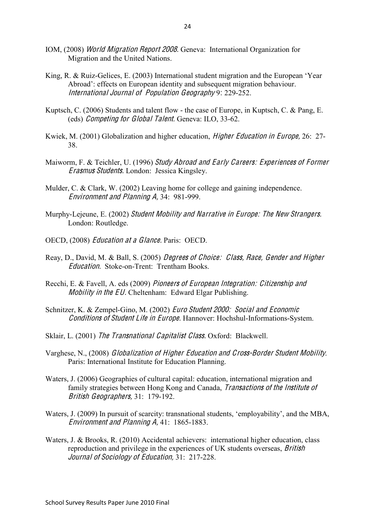- IOM, (2008) World Migration Repor<sup>t</sup> 2008. Geneva: International Organization for Migration and the United Nations.
- King, R. & Ruiz-Gelices, E. (2003) International student migration and the European 'Year Abroad': effects on European identity and subsequent migration behaviour. International Journal <sup>o</sup>f Population Geography 9: 229-252.
- Kuptsch, C. (2006) Students and talent flow the case of Europe, in Kuptsch, C. & Pang, E. (eds) Competing for Global Talent. Geneva: ILO, 33-62.
- Kwiek, M. (2001) Globalization and higher education, High<sup>e</sup><sup>r</sup> Education in Europ<sup>e</sup>, 26: 27- 38.
- Maiworm, F. & Teichler, U. (1996) Study Abroad and Early Careers: Experience<sup>s</sup> <sup>o</sup>f Forme<sup>r</sup> Erasmu<sup>s</sup> Students. London: Jessica Kingsley.
- Mulder, C. & Clark, W. (2002) Leaving home for college and gaining independence. Environmen<sup>t</sup> and Planning A, 34: 981-999.
- Murphy-Lejeune, E. (2002) Studen<sup>t</sup> Mobility and Narrativ<sup>e</sup> in Europ<sup>e</sup>: Th<sup>e</sup> Ne<sup>w</sup> Strangers. London: Routledge.
- OECD, (2008) Education <sup>a</sup><sup>t</sup> <sup>a</sup> Glance. Paris: OECD.
- Reay, D., David, M. & Ball, S. (2005) Degree<sup>s</sup> <sup>o</sup>f Choice: Class, Race, Gende<sup>r</sup> and High<sup>e</sup><sup>r</sup> Education. Stoke-on-Trent: Trentham Books.
- Recchi, E. & Favell, A. eds (2009) Pioneer<sup>s</sup> <sup>o</sup>f Europ<sup>e</sup>an Integration: Citizen<sup>s</sup>hip and Mobility in the EU. Cheltenham: Edward Elgar Publishing.
- Schnitzer, K. & Zempel-Gino, M. (2002) Euro Studen<sup>t</sup> 2000: Social and Economi<sup>c</sup> Condition<sup>s</sup> <sup>o</sup>f Studen<sup>t</sup> Lif<sup>e</sup> in Europ<sup>e</sup>. Hannover: Hochshul-Informations-System.
- Sklair, L. (2001) Th<sup>e</sup> Transnational Capitalist Class. Oxford: Blackwell.
- Varghese, N., (2008) Globalization <sup>o</sup>f High<sup>e</sup><sup>r</sup> Education and Cross-Borde<sup>r</sup> Studen<sup>t</sup> Mobility. Paris: International Institute for Education Planning.
- Waters, J. (2006) Geographies of cultural capital: education, international migration and family strategies between Hong Kong and Canada, Transaction<sup>s</sup> <sup>o</sup>f <sup>t</sup>h<sup>e</sup> Institut<sup>e</sup> <sup>o</sup>f British Geograph<sup>e</sup>rs, 31: 179-192.
- Waters, J. (2009) In pursuit of scarcity: transnational students, 'employability', and the MBA, Environmen<sup>t</sup> and Planning A, 41: 1865-1883.
- Waters, J. & Brooks, R. (2010) Accidental achievers: international higher education, class reproduction and privilege in the experiences of UK students overseas, British Journal <sup>o</sup>f So<sup>c</sup>iology <sup>o</sup>f Education, 31: 217-228.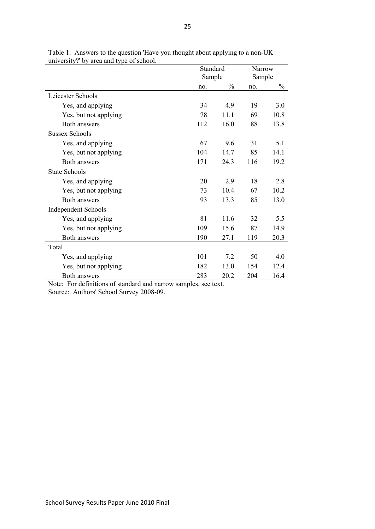|                            | Standard | <b>Narrow</b> |        |               |
|----------------------------|----------|---------------|--------|---------------|
|                            | Sample   |               | Sample |               |
|                            | no.      | $\frac{0}{0}$ | no.    | $\frac{0}{0}$ |
| Leicester Schools          |          |               |        |               |
| Yes, and applying          | 34       | 4.9           | 19     | 3.0           |
| Yes, but not applying      | 78       | 11.1          | 69     | 10.8          |
| Both answers               | 112      | 16.0          | 88     | 13.8          |
| <b>Sussex Schools</b>      |          |               |        |               |
| Yes, and applying          | 67       | 9.6           | 31     | 5.1           |
| Yes, but not applying      | 104      | 14.7          | 85     | 14.1          |
| Both answers               | 171      | 24.3          | 116    | 19.2          |
| <b>State Schools</b>       |          |               |        |               |
| Yes, and applying          | 20       | 2.9           | 18     | 2.8           |
| Yes, but not applying      | 73       | 10.4          | 67     | 10.2          |
| Both answers               | 93       | 13.3          | 85     | 13.0          |
| <b>Independent Schools</b> |          |               |        |               |
| Yes, and applying          | 81       | 11.6          | 32     | 5.5           |
| Yes, but not applying      | 109      | 15.6          | 87     | 14.9          |
| Both answers               | 190      | 27.1          | 119    | 20.3          |
| Total                      |          |               |        |               |
| Yes, and applying          | 101      | 7.2           | 50     | 4.0           |
| Yes, but not applying      | 182      | 13.0          | 154    | 12.4          |
| Both answers               | 283      | 20.2          | 204    | 16.4          |

Table 1. Answers to the question 'Have you thought about applying to a non-UK university?' by area and type of school.

Note: For definitions of standard and narrow samples, see text.

Source: Authors' School Survey 2008-09.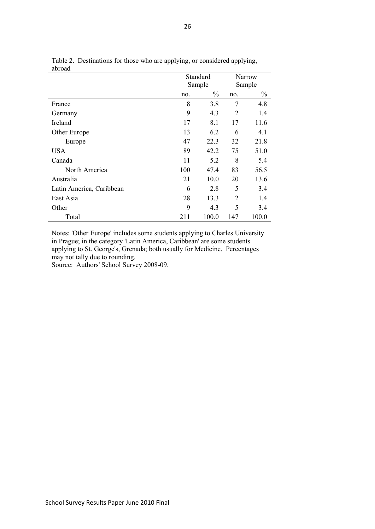| avivau                   |     |               |                |       |  |
|--------------------------|-----|---------------|----------------|-------|--|
|                          |     | Standard      | Narrow         |       |  |
|                          |     | Sample        | Sample         |       |  |
|                          | no. | $\frac{0}{0}$ | no.            | $\%$  |  |
| France                   | 8   | 3.8           | 7              | 4.8   |  |
| Germany                  | 9   | 4.3           | 2              | 1.4   |  |
| Ireland                  | 17  | 8.1           |                | 11.6  |  |
| Other Europe             | 13  | 6.2           |                | 4.1   |  |
| Europe                   | 47  | 22.3          |                | 21.8  |  |
| <b>USA</b>               | 89  | 42.2          | 75             | 51.0  |  |
| Canada                   | 11  | 5.2           | 8              | 5.4   |  |
| North America            | 100 | 47.4          | 83             | 56.5  |  |
| Australia                | 21  | 10.0          |                | 13.6  |  |
| Latin America, Caribbean | 6   | 2.8           |                | 3.4   |  |
| East Asia                | 28  | 13.3          | $\overline{2}$ | 1.4   |  |
| Other                    | 9   | 4.3           | 5              | 3.4   |  |
| Total                    | 211 | 100.0         | 147            | 100.0 |  |

Table 2. Destinations for those who are applying, or considered applying, abroad

Notes: 'Other Europe' includes some students applying to Charles University in Prague; in the category 'Latin America, Caribbean' are some students applying to St. George's, Grenada; both usually for Medicine. Percentages may not tally due to rounding.

Source: Authors' School Survey 2008-09.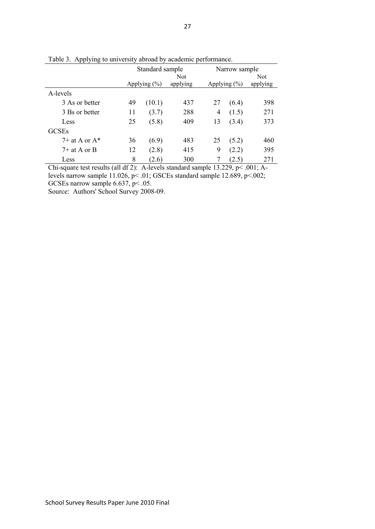| $\mathcal{L}$<br>$arctan$ , $arctan$ |              |                 |          |                  |       |          |  |  |
|--------------------------------------|--------------|-----------------|----------|------------------|-------|----------|--|--|
|                                      |              | Standard sample |          | Narrow sample    |       |          |  |  |
|                                      |              | Not             |          |                  |       | Not      |  |  |
|                                      | Applying (%) |                 | applying | Applying $(\% )$ |       | applying |  |  |
| A-levels                             |              |                 |          |                  |       |          |  |  |
| 3 As or better                       | 49           | (10.1)          | 437      | 27               | (6.4) | 398      |  |  |
| 3 Bs or better                       | 11           | (3.7)           | 288      | 4                | (1.5) | 271      |  |  |
| Less                                 | 25           | (5.8)           | 409      | 13               | (3.4) | 373      |  |  |
| <b>GCSEs</b>                         |              |                 |          |                  |       |          |  |  |
| $7+$ at A or $A^*$                   | 36           | (6.9)           | 483      | 25               | (5.2) | 460      |  |  |
| $7+$ at A or B                       | 12           | (2.8)           | 415      | 9                | (2.2) | 395      |  |  |
| Less                                 | 8            | (2.6)           | 300      |                  | (2.5) | 271      |  |  |

Table 3. Applying to university abroad by academic performance.

Chi-square test results (all df 2): A-levels standard sample 13.229, p< .001; Alevels narrow sample 11.026,  $p$  < .01; GSCEs standard sample 12.689,  $p$  < .002;

GCSEs narrow sample  $6.637$ ,  $p < .05$ .

Source: Authors' School Survey 2008-09.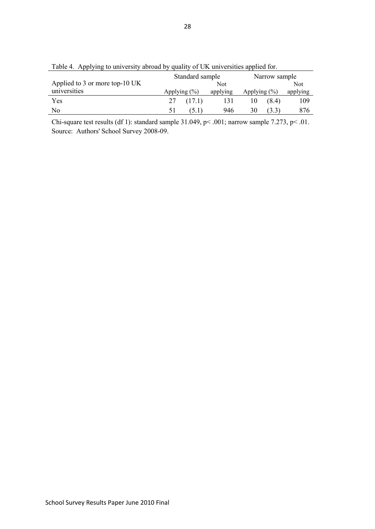|                                | Standard sample  |        |          | Narrow sample    |       |          |  |
|--------------------------------|------------------|--------|----------|------------------|-------|----------|--|
| Applied to 3 or more top-10 UK | Not.             |        |          |                  |       | Not      |  |
| universities                   | Applying $(\% )$ |        | applying | Applying $(\% )$ |       | applying |  |
| Yes                            | 27               | (17.1) | 131      | 10               | (8.4) | 109      |  |
| No                             | 51               | 5.1    | 946      | 30               |       | 876      |  |

Table 4. Applying to university abroad by quality of UK universities applied for.

Chi-square test results (df 1): standard sample 31.049, p< .001; narrow sample 7.273, p< .01. Source: Authors' School Survey 2008-09.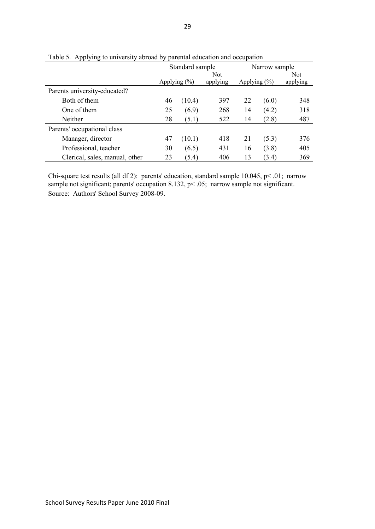|                                |                  | Standard sample |                        | Narrow sample    |       |                        |  |
|--------------------------------|------------------|-----------------|------------------------|------------------|-------|------------------------|--|
|                                | Applying $(\% )$ |                 | <b>Not</b><br>applying | Applying $(\% )$ |       | <b>Not</b><br>applying |  |
| Parents university-educated?   |                  |                 |                        |                  |       |                        |  |
| Both of them                   | 46               | (10.4)          | 397                    | 22               | (6.0) | 348                    |  |
| One of them                    | 25               | (6.9)           | 268                    | 14               | (4.2) | 318                    |  |
| Neither                        | 28               | (5.1)           | 522                    | 14               | (2.8) | 487                    |  |
| Parents' occupational class    |                  |                 |                        |                  |       |                        |  |
| Manager, director              | 47               | (10.1)          | 418                    | 21               | (5.3) | 376                    |  |
| Professional, teacher          | 30               | (6.5)           | 431                    | 16               | (3.8) | 405                    |  |
| Clerical, sales, manual, other | 23               | (5.4)           | 406                    | 13               | (3.4) | 369                    |  |

Table 5. Applying to university abroad by parental education and occupation

Chi-square test results (all df 2): parents' education, standard sample 10.045, p< .01; narrow sample not significant; parents' occupation 8.132, p < .05; narrow sample not significant. Source: Authors' School Survey 2008-09.